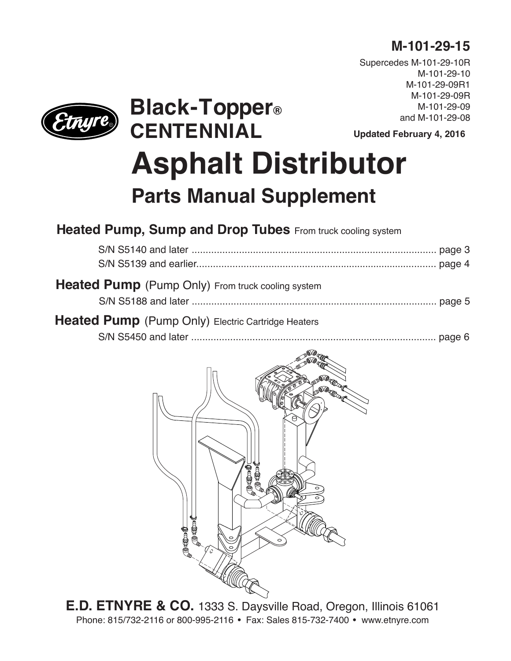## **M-101-29-15**

Supercedes M-101-29-10R M-101-29-10 M-101-29-09R1 M-101-29-09R M-101-29-09 and M-101-29-08

**Updated February 4, 2016**

# **CENTENNIAL Asphalt Distributor Parts Manual Supplement**

## **Heated Pump, Sump and Drop Tubes** From truck cooling system

**Black-Topper®**

| <b>Heated Pump</b> (Pump Only) From truck cooling system  |  |
|-----------------------------------------------------------|--|
| <b>Heated Pump</b> (Pump Only) Electric Cartridge Heaters |  |
|                                                           |  |



**E.D. ETNYRE & CO.** 1333 S. Daysville Road, Oregon, Illinois 61061 Phone: 815/732-2116 or 800-995-2116 • Fax: Sales 815-732-7400 • www.etnyre.com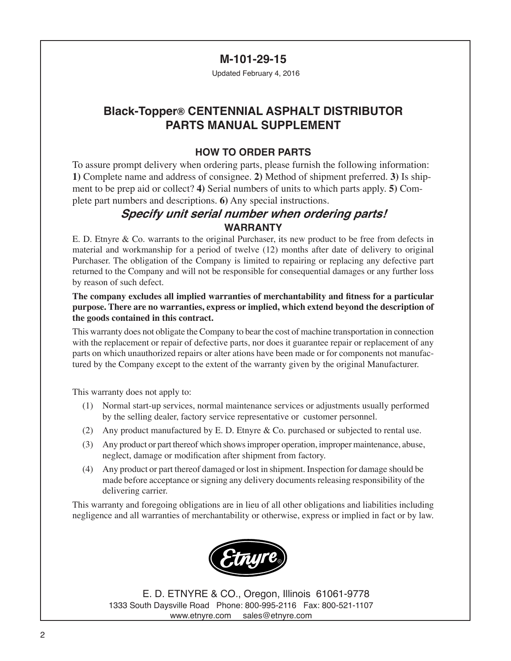#### **M-101-29-15**

Updated February 4, 2016

### **Black-Topper® CENTENNIAL ASPHALT DISTRIBUTOR PARTS MANUAL SUPPLEMENT**

#### **HOW TO ORDER PARTS**

To assure prompt delivery when ordering parts, please furnish the following information: **1)** Complete name and address of consignee. **2)** Method of shipment preferred. **3)** Is shipment to be prep aid or collect? **4)** Serial numbers of units to which parts apply. **5)** Complete part numbers and descriptions. **6)** Any special instructions.

#### **Specify unit serial number when ordering parts! WARRANTY**

E. D. Etnyre & Co. warrants to the original Purchaser, its new product to be free from defects in material and workmanship for a period of twelve (12) months after date of delivery to original Purchaser. The obligation of the Company is limited to repairing or replacing any defective part returned to the Company and will not be responsible for consequential damages or any further loss by reason of such defect.

#### **The company excludes all implied warranties of merchantability and fitness for a particular purpose. There are no warranties, express or implied, which extend beyond the description of the goods contained in this contract.**

This warranty does not obligate the Company to bear the cost of machine transportation in connection with the replacement or repair of defective parts, nor does it guarantee repair or replacement of any parts on which unauthorized repairs or alter ations have been made or for components not manufactured by the Company except to the extent of the warranty given by the original Manufacturer.

This warranty does not apply to:

- (1) Normal start-up services, normal maintenance services or adjustments usually performed by the selling dealer, factory service representative or customer personnel.
- (2) Any product manufactured by E. D. Etnyre & Co. purchased or subjected to rental use.
- (3) Any product or part thereof which shows improper operation, improper maintenance, abuse, neglect, damage or modification after shipment from factory.
- (4) Any product or part thereof damaged or lost in shipment. Inspection for damage should be made before acceptance or signing any delivery documents releasing responsibility of the delivering carrier.

This warranty and foregoing obligations are in lieu of all other obligations and liabilities including negligence and all warranties of merchantability or otherwise, express or implied in fact or by law.



E. D. ETNYRE & CO., Oregon, Illinois 61061-9778 1333 South Daysville Road Phone: 800-995-2116 Fax: 800-521-1107 www.etnyre.com sales@etnyre.com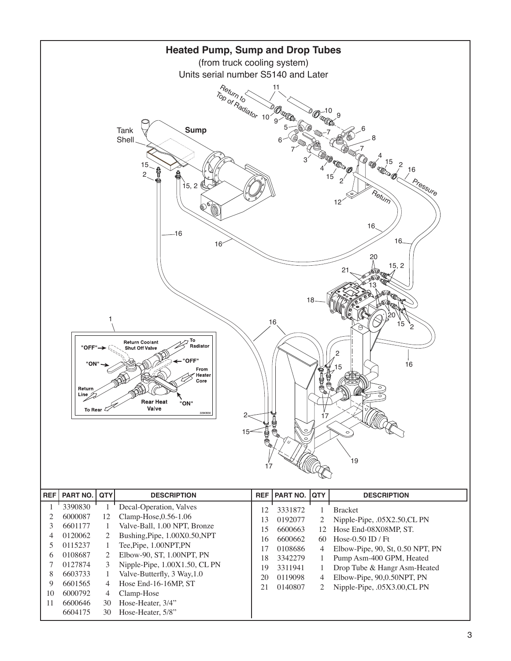

|    | 6000087 | 12 | $Clamp-Hose, 0.56-1.06$          | 13 | 0192077 | 2  | Nipple-Pipe, .05X2.50,CL PN           |
|----|---------|----|----------------------------------|----|---------|----|---------------------------------------|
|    | 6601177 |    | Valve-Ball, 1.00 NPT, Bronze     | 15 | 6600663 |    | 12 Hose End-08X08MP, ST.              |
| 4  | 0120062 | 2  | Bushing, Pipe, 1.00X0.50, NPT    | 16 | 6600662 | 60 | Hose-0.50 ID / Ft                     |
|    | 0115237 |    | Tee, Pipe, 1.00NPT, PN           | 17 | 0108686 | 4  | Elbow-Pipe, $90$ , St, $0.50$ NPT, PN |
| 6  | 0108687 |    | Elbow-90, ST, 1.00NPT, PN        | 18 | 3342279 |    |                                       |
|    | 0127874 | 3  | Nipple-Pipe, $1.00X1.50$ , CL PN | 19 | 3311941 |    | Pump Asm-400 GPM, Heated              |
| 8  | 6603733 |    | Valve-Butterfly, 3 Way, 1.0      |    |         |    | Drop Tube & Hangr Asm-Heated          |
| 9  | 6601565 | 4  | Hose End-16-16MP, ST             | 20 | 0119098 | 4  | Elbow-Pipe, 90,0.50NPT, PN            |
| 10 | 6000792 | 4  | Clamp-Hose                       | 21 | 0140807 |    | Nipple-Pipe, .05X3.00,CL PN           |
| 11 | 6600646 | 30 | Hose-Heater, 3/4"                |    |         |    |                                       |
|    | 6604175 | 30 | Hose-Heater, 5/8"                |    |         |    |                                       |
|    |         |    |                                  |    |         |    |                                       |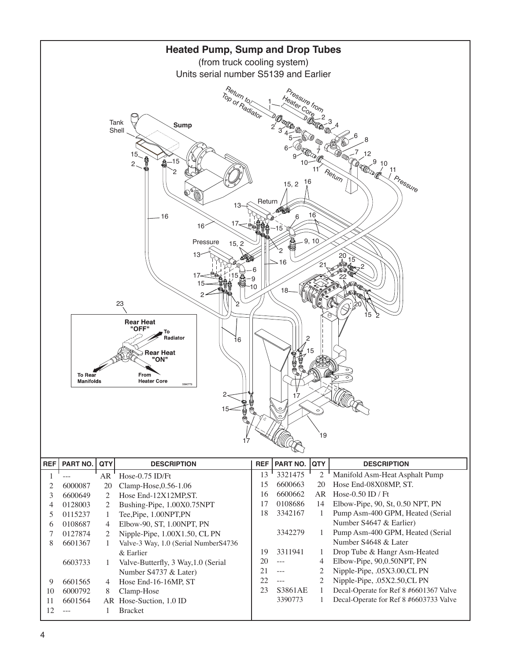

|    |         | AR            | $Hose-0.75$ ID/Ft                    | 13 | 3321415                                                                                                                                                                                                                                                                                                                                                                                      |     | Manifold Asm-Heat Asphalt Pump         |
|----|---------|---------------|--------------------------------------|----|----------------------------------------------------------------------------------------------------------------------------------------------------------------------------------------------------------------------------------------------------------------------------------------------------------------------------------------------------------------------------------------------|-----|----------------------------------------|
|    | 6000087 | 20            | Clamp-Hose, $0.56-1.06$              | 15 | 6600663                                                                                                                                                                                                                                                                                                                                                                                      | 20  | Hose End-08X08MP, ST.                  |
|    | 6600649 | $\mathcal{L}$ | Hose End-12X12MP.ST.                 | 16 | 6600662                                                                                                                                                                                                                                                                                                                                                                                      | AR. | Hose-0.50 ID / Ft                      |
| 4  | 0128003 | 2             | Bushing-Pipe, 1.00X0.75NPT           | 17 | 0108686                                                                                                                                                                                                                                                                                                                                                                                      | 14  | Elbow-Pipe, $90$ , St, $0.50$ NPT, PN  |
|    | 0115237 |               | Tee, Pipe, 1.00NPT, PN               | 18 | 3342167                                                                                                                                                                                                                                                                                                                                                                                      |     | Pump Asm-400 GPM, Heated (Serial       |
| 6  | 0108687 | 4             | Elbow-90, ST, 1.00NPT, PN            |    |                                                                                                                                                                                                                                                                                                                                                                                              |     | Number S4647 & Earlier)                |
|    | 0127874 | 2             | Nipple-Pipe, $1.00X1.50$ , CL PN     |    | 3342279                                                                                                                                                                                                                                                                                                                                                                                      |     | Pump Asm-400 GPM, Heated (Serial       |
| 8  | 6601367 |               | Valve-3 Way, 1.0 (Serial NumberS4736 |    |                                                                                                                                                                                                                                                                                                                                                                                              |     | Number S4648 & Later                   |
|    |         |               | $&$ Earlier                          | 19 | 3311941                                                                                                                                                                                                                                                                                                                                                                                      |     | Drop Tube & Hangr Asm-Heated           |
|    | 6603733 |               | Valve-Butterfly, 3 Way, 1.0 (Serial  | 20 | $\sim$ $\sim$ $\sim$                                                                                                                                                                                                                                                                                                                                                                         | 4   | Elbow-Pipe, 90,0.50NPT, PN             |
|    |         |               | Number S4737 & Later)                | 21 | $\cdots$                                                                                                                                                                                                                                                                                                                                                                                     |     | Nipple-Pipe, .05X3.00,CL PN            |
| 9  | 6601565 | 4             | Hose End-16-16MP, ST                 | 22 | $\frac{1}{2} \frac{1}{2} \frac{1}{2} \frac{1}{2} \frac{1}{2} \frac{1}{2} \frac{1}{2} \frac{1}{2} \frac{1}{2} \frac{1}{2} \frac{1}{2} \frac{1}{2} \frac{1}{2} \frac{1}{2} \frac{1}{2} \frac{1}{2} \frac{1}{2} \frac{1}{2} \frac{1}{2} \frac{1}{2} \frac{1}{2} \frac{1}{2} \frac{1}{2} \frac{1}{2} \frac{1}{2} \frac{1}{2} \frac{1}{2} \frac{1}{2} \frac{1}{2} \frac{1}{2} \frac{1}{2} \frac{$ |     | Nipple-Pipe, .05X2.50,CL PN            |
| 10 | 6000792 | 8             | Clamp-Hose                           | 23 | S3861AE                                                                                                                                                                                                                                                                                                                                                                                      |     | Decal-Operate for Ref 8 #6601367 Valve |
| 11 | 6601564 |               | AR Hose-Suction, 1.0 ID              |    | 3390773                                                                                                                                                                                                                                                                                                                                                                                      |     | Decal-Operate for Ref 8 #6603733 Valve |
|    |         |               | <b>Bracket</b>                       |    |                                                                                                                                                                                                                                                                                                                                                                                              |     |                                        |
|    |         |               |                                      |    |                                                                                                                                                                                                                                                                                                                                                                                              |     |                                        |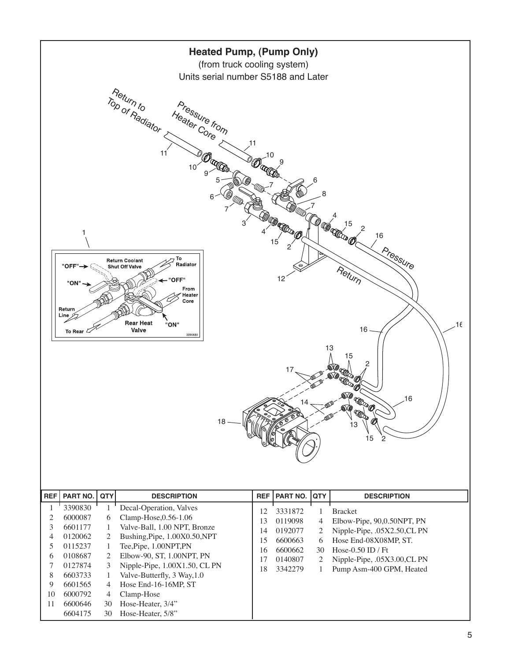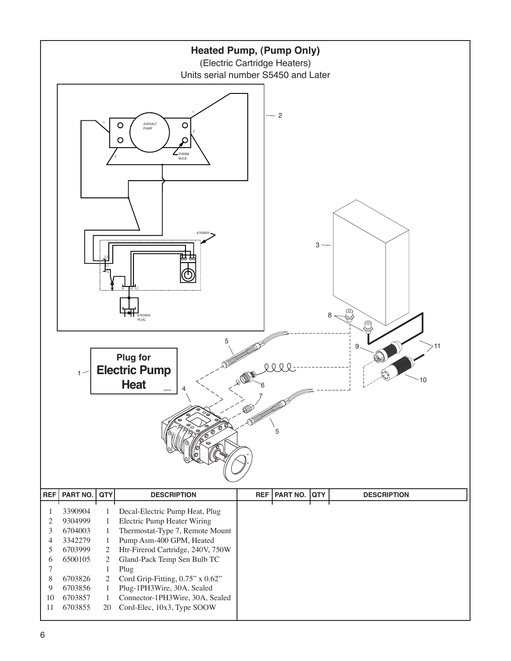